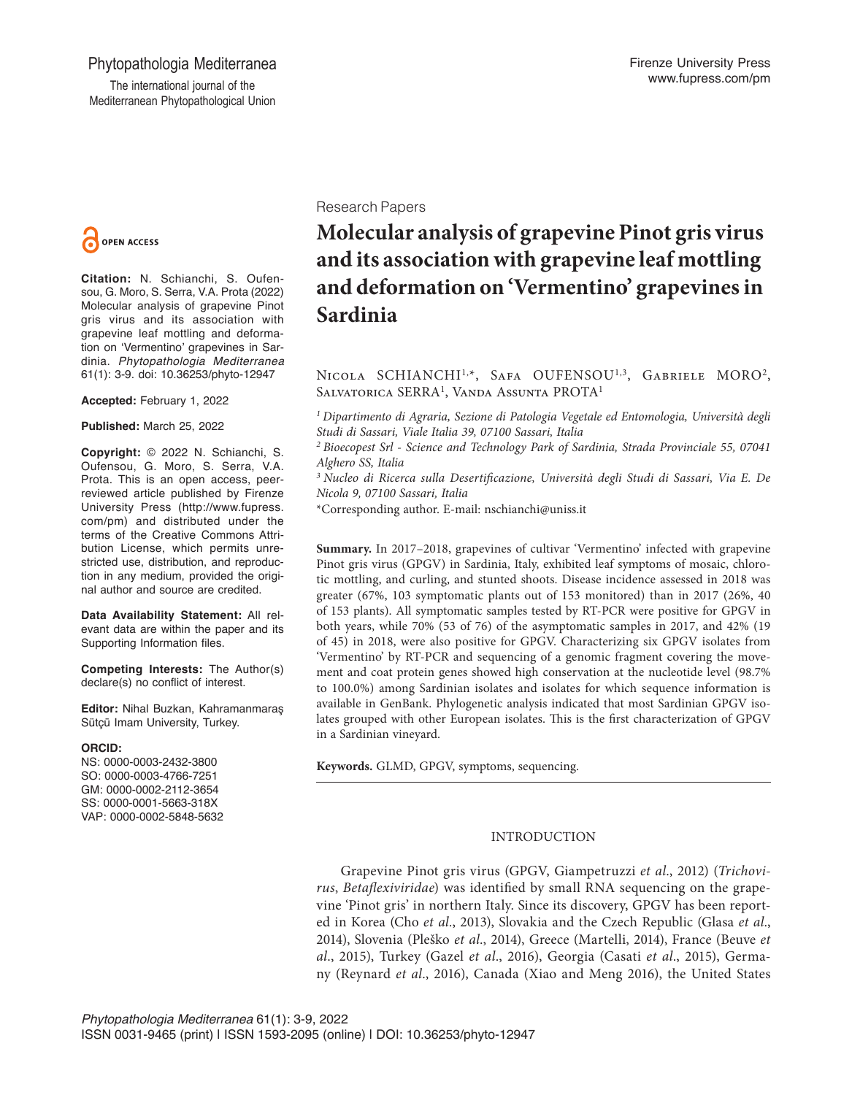## Phytopathologia Mediterranea

The international journal of the Mediterranean Phytopathological Union



**Citation:** N. Schianchi, S. Oufensou, G. Moro, S. Serra, V.A. Prota (2022) Molecular analysis of grapevine Pinot gris virus and its association with grapevine leaf mottling and deformation on 'Vermentino' grapevines in Sardinia. *Phytopathologia Mediterranea* 61(1): 3-9. doi: 10.36253/phyto-12947

**Accepted:** February 1, 2022

**Published:** March 25, 2022

**Copyright:** © 2022 N. Schianchi, S. Oufensou, G. Moro, S. Serra, V.A. Prota. This is an open access, peerreviewed article published by Firenze University Press (http://www.fupress. com/pm) and distributed under the terms of the Creative Commons Attribution License, which permits unrestricted use, distribution, and reproduction in any medium, provided the original author and source are credited.

**Data Availability Statement:** All relevant data are within the paper and its Supporting Information files.

**Competing Interests:** The Author(s) declare(s) no conflict of interest.

**Editor:** Nihal Buzkan, Kahramanmaraş Sütçü Imam University, Turkey.

#### **ORCID:**

NS: 0000-0003-2432-3800 SO: 0000-0003-4766-7251 GM: 0000-0002-2112-3654 SS: 0000-0001-5663-318X VAP: 0000-0002-5848-5632 Research Papers

# **Molecular analysis of grapevine Pinot gris virus and its association with grapevine leaf mottling and deformation on 'Vermentino' grapevines in Sardinia**

NICOLA SCHIANCHI<sup>1,\*</sup>, SAFA OUFENSOU<sup>1,3</sup>, GABRIELE MORO<sup>2</sup>, Salvatorica SERRA<sup>1</sup>, Vanda Assunta PROTA<sup>1</sup>

*1 Dipartimento di Agraria, Sezione di Patologia Vegetale ed Entomologia, Università degli Studi di Sassari, Viale Italia 39, 07100 Sassari, Italia*

*2 Bioecopest Srl - Science and Technology Park of Sardinia, Strada Provinciale 55, 07041 Alghero SS, Italia*

*3 Nucleo di Ricerca sulla Desertificazione, Università degli Studi di Sassari, Via E. De Nicola 9, 07100 Sassari, Italia*

\*Corresponding author. E-mail: nschianchi@uniss.it

**Summary.** In 2017–2018, grapevines of cultivar 'Vermentino' infected with grapevine Pinot gris virus (GPGV) in Sardinia, Italy, exhibited leaf symptoms of mosaic, chlorotic mottling, and curling, and stunted shoots. Disease incidence assessed in 2018 was greater (67%, 103 symptomatic plants out of 153 monitored) than in 2017 (26%, 40 of 153 plants). All symptomatic samples tested by RT-PCR were positive for GPGV in both years, while 70% (53 of 76) of the asymptomatic samples in 2017, and 42% (19 of 45) in 2018, were also positive for GPGV. Characterizing six GPGV isolates from 'Vermentino' by RT-PCR and sequencing of a genomic fragment covering the movement and coat protein genes showed high conservation at the nucleotide level (98.7% to 100.0%) among Sardinian isolates and isolates for which sequence information is available in GenBank. Phylogenetic analysis indicated that most Sardinian GPGV isolates grouped with other European isolates. This is the first characterization of GPGV in a Sardinian vineyard.

**Keywords.** GLMD, GPGV, symptoms, sequencing.

## INTRODUCTION

Grapevine Pinot gris virus (GPGV, Giampetruzzi *et al*., 2012) (*Trichovirus*, *Betaflexiviridae*) was identified by small RNA sequencing on the grapevine 'Pinot gris' in northern Italy. Since its discovery, GPGV has been reported in Korea (Cho *et al.*, 2013), Slovakia and the Czech Republic (Glasa *et al*., 2014), Slovenia (Pleško *et al*., 2014), Greece (Martelli, 2014), France (Beuve *et al*., 2015), Turkey (Gazel *et al*., 2016), Georgia (Casati *et al*., 2015), Germany (Reynard *et al*., 2016), Canada (Xiao and Meng 2016), the United States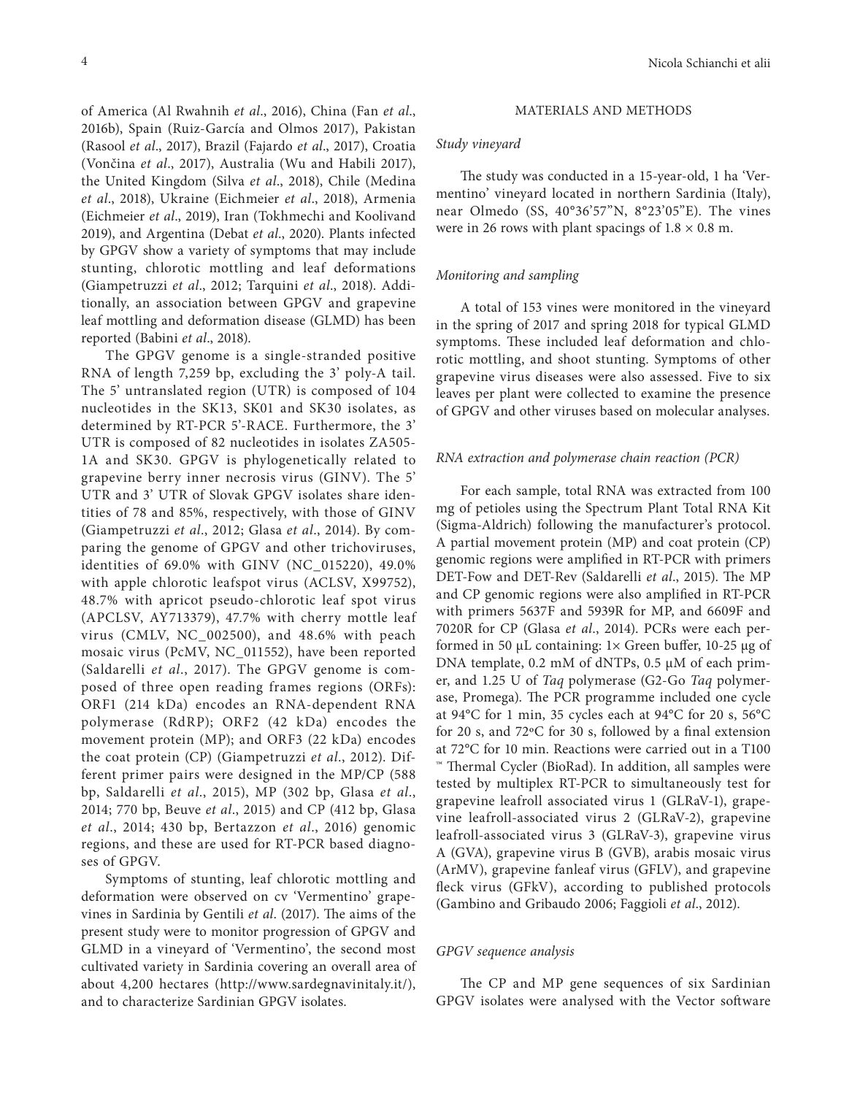of America (Al Rwahnih *et al*., 2016), China (Fan *et al*., 2016b), Spain (Ruiz-García and Olmos 2017), Pakistan (Rasool *et al*., 2017), Brazil (Fajardo *et al*., 2017), Croatia (Vončina *et al*., 2017), Australia (Wu and Habili 2017), the United Kingdom (Silva *et al*., 2018), Chile (Medina *et al*., 2018), Ukraine (Eichmeier *et al*., 2018), Armenia (Eichmeier *et al*., 2019), Iran (Tokhmechi and Koolivand 2019), and Argentina (Debat *et al*., 2020). Plants infected by GPGV show a variety of symptoms that may include stunting, chlorotic mottling and leaf deformations (Giampetruzzi *et al*., 2012; Tarquini *et al*., 2018). Additionally, an association between GPGV and grapevine leaf mottling and deformation disease (GLMD) has been reported (Babini *et al*., 2018).

The GPGV genome is a single-stranded positive RNA of length 7,259 bp, excluding the 3' poly-A tail. The 5' untranslated region (UTR) is composed of 104 nucleotides in the SK13, SK01 and SK30 isolates, as determined by RT-PCR 5'-RACE. Furthermore, the 3' UTR is composed of 82 nucleotides in isolates ZA505- 1A and SK30. GPGV is phylogenetically related to grapevine berry inner necrosis virus (GINV). The 5' UTR and 3' UTR of Slovak GPGV isolates share identities of 78 and 85%, respectively, with those of GINV (Giampetruzzi *et al*., 2012; Glasa *et al*., 2014). By comparing the genome of GPGV and other trichoviruses, identities of 69.0% with GINV (NC\_015220), 49.0% with apple chlorotic leafspot virus (ACLSV, X99752), 48.7% with apricot pseudo-chlorotic leaf spot virus (APCLSV, AY713379), 47.7% with cherry mottle leaf virus (CMLV, NC\_002500), and 48.6% with peach mosaic virus (PcMV, NC\_011552), have been reported (Saldarelli *et al*., 2017). The GPGV genome is composed of three open reading frames regions (ORFs): ORF1 (214 kDa) encodes an RNA-dependent RNA polymerase (RdRP); ORF2 (42 kDa) encodes the movement protein (MP); and ORF3 (22 kDa) encodes the coat protein (CP) (Giampetruzzi *et al*., 2012). Different primer pairs were designed in the MP/CP (588 bp, Saldarelli *et al*., 2015), MP (302 bp, Glasa *et al*., 2014; 770 bp, Beuve *et al*., 2015) and CP (412 bp, Glasa *et al*., 2014; 430 bp, Bertazzon *et al*., 2016) genomic regions, and these are used for RT-PCR based diagnoses of GPGV.

Symptoms of stunting, leaf chlorotic mottling and deformation were observed on cv 'Vermentino' grapevines in Sardinia by Gentili *et al*. (2017). The aims of the present study were to monitor progression of GPGV and GLMD in a vineyard of 'Vermentino', the second most cultivated variety in Sardinia covering an overall area of about 4,200 hectares (http://www.sardegnavinitaly.it/), and to characterize Sardinian GPGV isolates.

#### MATERIALS AND METHODS

#### *Study vineyard*

The study was conducted in a 15-year-old, 1 ha 'Vermentino' vineyard located in northern Sardinia (Italy), near Olmedo (SS, 40°36'57"N, 8°23'05"E). The vines were in 26 rows with plant spacings of  $1.8 \times 0.8$  m.

## *Monitoring and sampling*

A total of 153 vines were monitored in the vineyard in the spring of 2017 and spring 2018 for typical GLMD symptoms. These included leaf deformation and chlorotic mottling, and shoot stunting. Symptoms of other grapevine virus diseases were also assessed. Five to six leaves per plant were collected to examine the presence of GPGV and other viruses based on molecular analyses.

#### *RNA extraction and polymerase chain reaction (PCR)*

For each sample, total RNA was extracted from 100 mg of petioles using the Spectrum Plant Total RNA Kit (Sigma-Aldrich) following the manufacturer's protocol. A partial movement protein (MP) and coat protein (CP) genomic regions were amplified in RT-PCR with primers DET-Fow and DET-Rev (Saldarelli *et al*., 2015). The MP and CP genomic regions were also amplified in RT-PCR with primers 5637F and 5939R for MP, and 6609F and 7020R for CP (Glasa *et al*., 2014). PCRs were each performed in 50 μL containing: 1× Green buffer, 10-25 μg of DNA template, 0.2 mM of dNTPs, 0.5 μM of each primer, and 1.25 U of *Taq* polymerase (G2-Go *Taq* polymerase, Promega). The PCR programme included one cycle at 94°C for 1 min, 35 cycles each at 94°C for 20 s, 56°C for 20 s, and 72ºC for 30 s, followed by a final extension at 72°C for 10 min. Reactions were carried out in a T100 ™ Thermal Cycler (BioRad). In addition, all samples were tested by multiplex RT-PCR to simultaneously test for grapevine leafroll associated virus 1 (GLRaV-1), grapevine leafroll-associated virus 2 (GLRaV-2), grapevine leafroll-associated virus 3 (GLRaV-3), grapevine virus A (GVA), grapevine virus B (GVB), arabis mosaic virus (ArMV), grapevine fanleaf virus (GFLV), and grapevine fleck virus (GFkV), according to published protocols (Gambino and Gribaudo 2006; Faggioli *et al*., 2012).

#### *GPGV sequence analysis*

The CP and MP gene sequences of six Sardinian GPGV isolates were analysed with the Vector software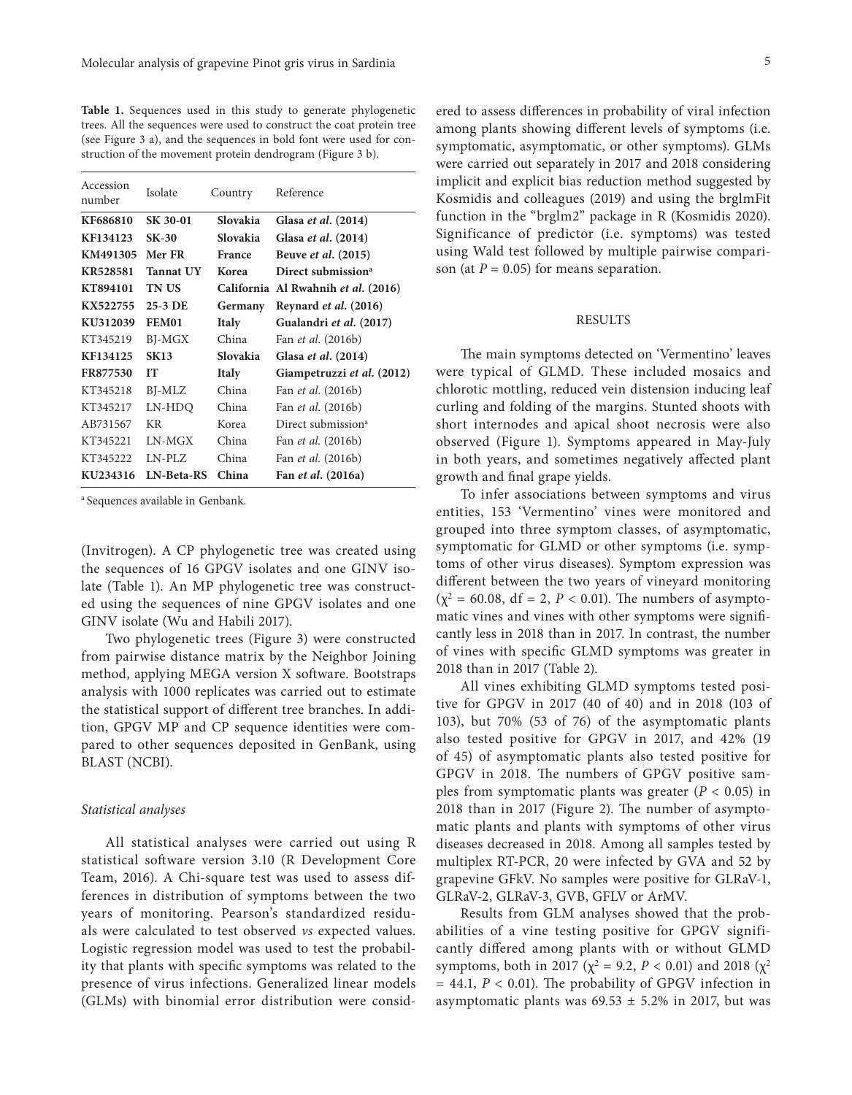**Table 1.** Sequences used in this study to generate phylogenetic trees. All the sequences were used to construct the coat protein tree (see Figure 3 a), and the sequences in bold font were used for construction of the movement protein dendrogram (Figure 3 b).

| Accession<br>number | Isolate           | Country         | Reference                           |  |
|---------------------|-------------------|-----------------|-------------------------------------|--|
| KF686810            | SK 30-01          | Slovakia        | Glasa et al. (2014)                 |  |
| KF134123            | <b>SK-30</b>      | <b>Slovakia</b> | Glasa et al. (2014)                 |  |
| KM491305            | Mer FR            | France          | Beuve et al. (2015)                 |  |
| KR528581            | <b>Tannat UY</b>  | Korea           | Direct submission <sup>a</sup>      |  |
| KT894101            | TN US             |                 | California Al Rwahnih et al. (2016) |  |
| KX522755            | 25-3 DE           | Germany         | Reynard et al. (2016)               |  |
| KU312039            | <b>FEM01</b>      | <b>Italy</b>    | Gualandri et al. (2017)             |  |
| KT345219            | BJ-MGX            | China           | Fan <i>et al.</i> (2016b)           |  |
| KF134125            | <b>SK13</b>       | Slovakia        | Glasa et al. (2014)                 |  |
| FR877530            | IТ                | <b>Italy</b>    | Giampetruzzi et al. (2012)          |  |
| KT345218            | BJ-MLZ            | China           | Fan <i>et al.</i> (2016b)           |  |
| KT345217            | LN-HDQ            | China           | Fan <i>et al.</i> (2016b)           |  |
| AB731567            | KR                | Korea           | Direct submission <sup>a</sup>      |  |
| KT345221            | LN-MGX            | China           | Fan <i>et al.</i> (2016b)           |  |
| KT345222            | $LN-PLZ$          | China           | Fan <i>et al.</i> (2016b)           |  |
| KU234316            | <b>LN-Beta-RS</b> | China           | Fan <i>et al.</i> (2016a)           |  |

a Sequences available in Genbank.

(Invitrogen). A CP phylogenetic tree was created using the sequences of 16 GPGV isolates and one GINV isolate (Table 1). An MP phylogenetic tree was constructed using the sequences of nine GPGV isolates and one GINV isolate (Wu and Habili 2017).

Two phylogenetic trees (Figure 3) were constructed from pairwise distance matrix by the Neighbor Joining method, applying MEGA version X software. Bootstraps analysis with 1000 replicates was carried out to estimate the statistical support of different tree branches. In addition, GPGV MP and CP sequence identities were compared to other sequences deposited in GenBank, using BLAST (NCBI).

#### *Statistical analyses*

All statistical analyses were carried out using R statistical software version 3.10 (R Development Core Team, 2016). A Chi-square test was used to assess differences in distribution of symptoms between the two years of monitoring. Pearson's standardized residuals were calculated to test observed *vs* expected values. Logistic regression model was used to test the probability that plants with specific symptoms was related to the presence of virus infections. Generalized linear models (GLMs) with binomial error distribution were consid-

ered to assess differences in probability of viral infection among plants showing different levels of symptoms (i.e. symptomatic, asymptomatic, or other symptoms). GLMs were carried out separately in 2017 and 2018 considering implicit and explicit bias reduction method suggested by Kosmidis and colleagues (2019) and using the brglmFit function in the "brglm2" package in R (Kosmidis 2020). Significance of predictor (i.e. symptoms) was tested using Wald test followed by multiple pairwise comparison (at  $P = 0.05$ ) for means separation.

### RESULTS

The main symptoms detected on 'Vermentino' leaves were typical of GLMD. These included mosaics and chlorotic mottling, reduced vein distension inducing leaf curling and folding of the margins. Stunted shoots with short internodes and apical shoot necrosis were also observed (Figure 1). Symptoms appeared in May-July in both years, and sometimes negatively affected plant growth and final grape yields.

To infer associations between symptoms and virus entities, 153 'Vermentino' vines were monitored and grouped into three symptom classes, of asymptomatic, symptomatic for GLMD or other symptoms (i.e. symptoms of other virus diseases). Symptom expression was different between the two years of vineyard monitoring  $(χ<sup>2</sup> = 60.08, df = 2, P < 0.01)$ . The numbers of asymptomatic vines and vines with other symptoms were significantly less in 2018 than in 2017. In contrast, the number of vines with specific GLMD symptoms was greater in 2018 than in 2017 (Table 2).

All vines exhibiting GLMD symptoms tested positive for GPGV in 2017 (40 of 40) and in 2018 (103 of 103), but 70% (53 of 76) of the asymptomatic plants also tested positive for GPGV in 2017, and 42% (19 of 45) of asymptomatic plants also tested positive for GPGV in 2018. The numbers of GPGV positive samples from symptomatic plants was greater  $(P < 0.05)$  in 2018 than in 2017 (Figure 2). The number of asymptomatic plants and plants with symptoms of other virus diseases decreased in 2018. Among all samples tested by multiplex RT-PCR, 20 were infected by GVA and 52 by grapevine GFkV. No samples were positive for GLRaV-1, GLRaV-2, GLRaV-3, GVB, GFLV or ArMV.

Results from GLM analyses showed that the probabilities of a vine testing positive for GPGV significantly differed among plants with or without GLMD symptoms, both in 2017 ( $\chi^2$  = 9.2, *P* < 0.01) and 2018 ( $\chi^2$ = 44.1, *P* < 0.01). The probability of GPGV infection in asymptomatic plants was  $69.53 \pm 5.2\%$  in 2017, but was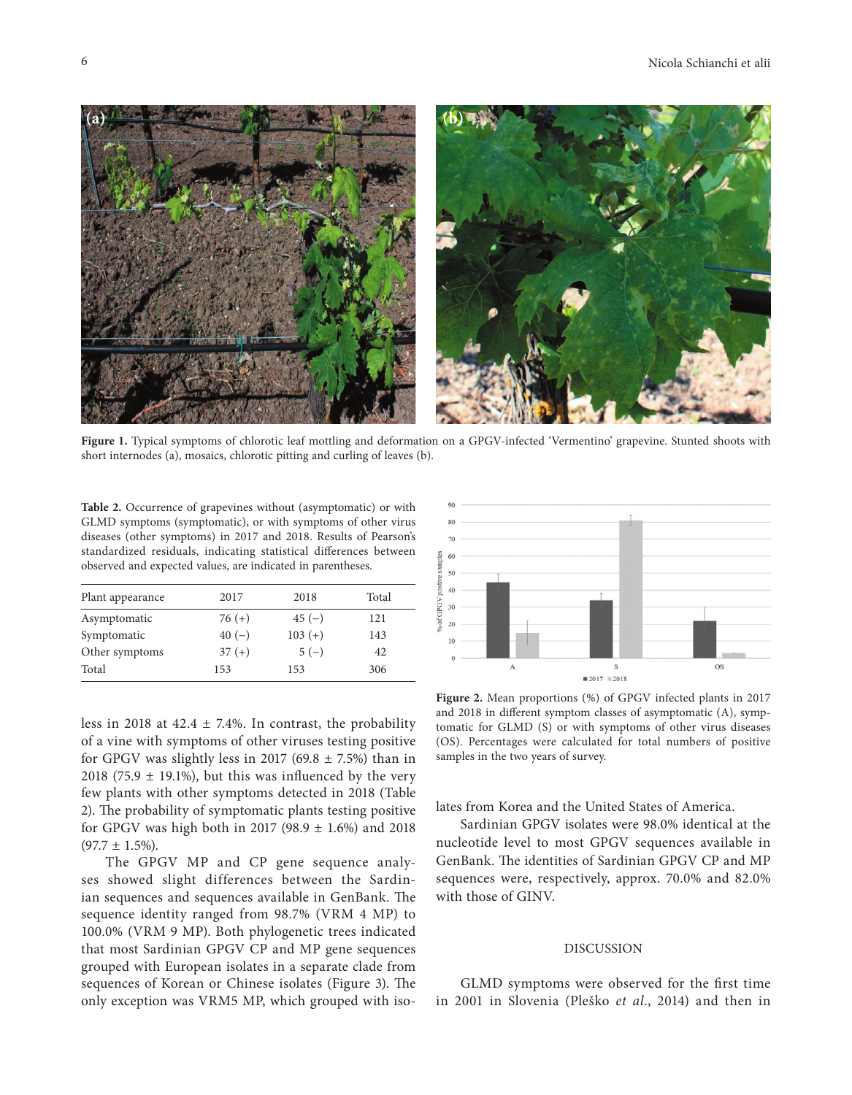

**Figure 1.** Typical symptoms of chlorotic leaf mottling and deformation on a GPGV-infected 'Vermentino' grapevine. Stunted shoots with short internodes (a), mosaics, chlorotic pitting and curling of leaves (b).

**Table 2.** Occurrence of grapevines without (asymptomatic) or with GLMD symptoms (symptomatic), or with symptoms of other virus diseases (other symptoms) in 2017 and 2018. Results of Pearson's standardized residuals, indicating statistical differences between observed and expected values, are indicated in parentheses.

| Plant appearance | 2017     | 2018      | Total |
|------------------|----------|-----------|-------|
| Asymptomatic     | $76 (+)$ | $45(-)$   | 121   |
| Symptomatic      | $40(-)$  | $103 (+)$ | 143   |
| Other symptoms   | $37 (+)$ | $5(-)$    | 42    |
| Total            | 153      | 153       | 306   |

less in 2018 at  $42.4 \pm 7.4\%$ . In contrast, the probability of a vine with symptoms of other viruses testing positive for GPGV was slightly less in 2017 (69.8  $\pm$  7.5%) than in 2018 (75.9  $\pm$  19.1%), but this was influenced by the very few plants with other symptoms detected in 2018 (Table 2). The probability of symptomatic plants testing positive for GPGV was high both in 2017 (98.9 ± 1.6%) and 2018  $(97.7 \pm 1.5\%)$ .

The GPGV MP and CP gene sequence analyses showed slight differences between the Sardinian sequences and sequences available in GenBank. The sequence identity ranged from 98.7% (VRM 4 MP) to 100.0% (VRM 9 MP). Both phylogenetic trees indicated that most Sardinian GPGV CP and MP gene sequences grouped with European isolates in a separate clade from sequences of Korean or Chinese isolates (Figure 3). The only exception was VRM5 MP, which grouped with iso-



**Figure 2.** Mean proportions (%) of GPGV infected plants in 2017 and 2018 in different symptom classes of asymptomatic (A), symptomatic for GLMD (S) or with symptoms of other virus diseases (OS). Percentages were calculated for total numbers of positive samples in the two years of survey.

lates from Korea and the United States of America.

Sardinian GPGV isolates were 98.0% identical at the nucleotide level to most GPGV sequences available in GenBank. The identities of Sardinian GPGV CP and MP sequences were, respectively, approx. 70.0% and 82.0% with those of GINV.

#### DISCUSSION

GLMD symptoms were observed for the first time in 2001 in Slovenia (Pleško *et al*., 2014) and then in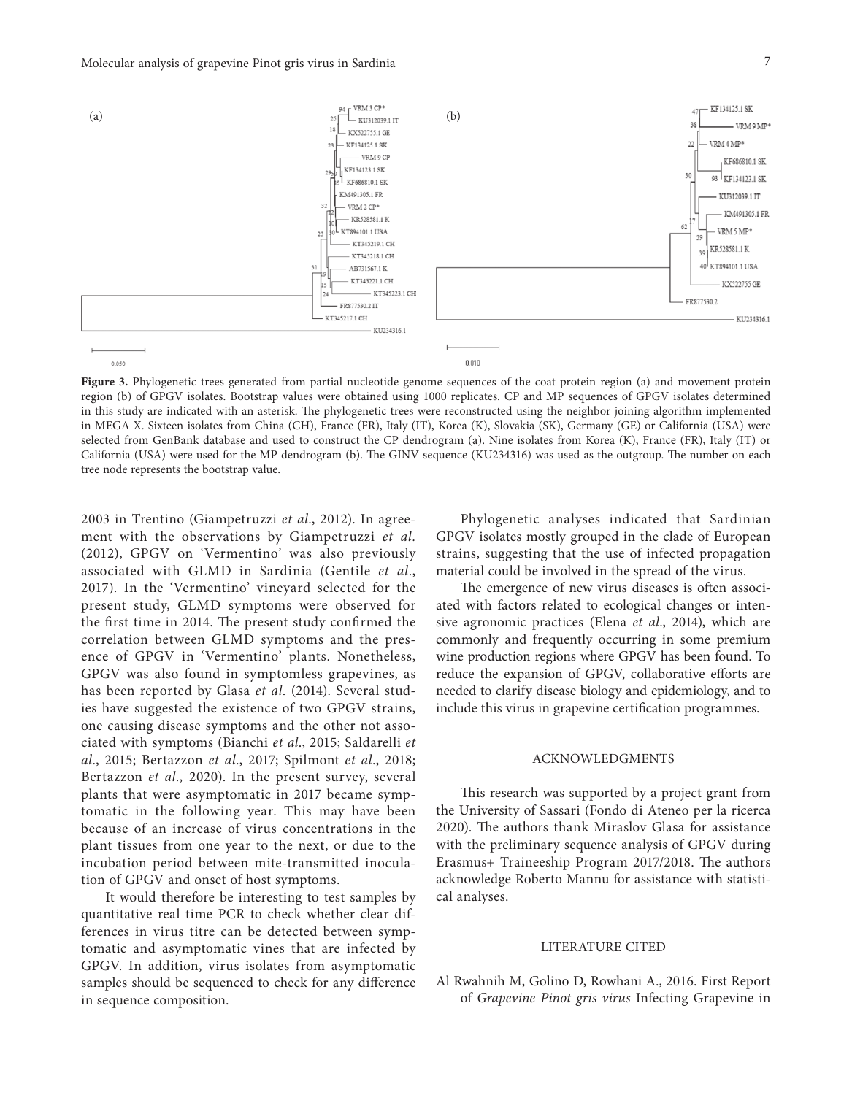

Figure 3. Phylogenetic trees generated from partial nucleotide genome sequences of the coat protein region (a) and movement protein region (b) of GPGV isolates. Bootstrap values were obtained using 1000 replicates. CP and MP sequences of GPGV isolates determined in this study are indicated with an asterisk. The phylogenetic trees were reconstructed using the neighbor joining algorithm implemented in MEGA X. Sixteen isolates from China (CH), France (FR), Italy (IT), Korea (K), Slovakia (SK), Germany (GE) or California (USA) were selected from GenBank database and used to construct the CP dendrogram (a). Nine isolates from Korea (K), France (FR), Italy (IT) or California (USA) were used for the MP dendrogram (b). The GINV sequence (KU234316) was used as the outgroup. The number on each tree node represents the bootstrap value.

2003 in Trentino (Giampetruzzi *et al*., 2012). In agreement with the observations by Giampetruzzi *et al.* (2012), GPGV on 'Vermentino' was also previously associated with GLMD in Sardinia (Gentile *et al*., 2017). In the 'Vermentino' vineyard selected for the present study, GLMD symptoms were observed for the first time in 2014. The present study confirmed the correlation between GLMD symptoms and the presence of GPGV in 'Vermentino' plants. Nonetheless, GPGV was also found in symptomless grapevines, as has been reported by Glasa *et al*. (2014). Several studies have suggested the existence of two GPGV strains, one causing disease symptoms and the other not associated with symptoms (Bianchi *et al*., 2015; Saldarelli *et al*., 2015; Bertazzon *et al*., 2017; Spilmont *et al*., 2018; Bertazzon *et al.,* 2020). In the present survey, several plants that were asymptomatic in 2017 became symptomatic in the following year. This may have been because of an increase of virus concentrations in the plant tissues from one year to the next, or due to the incubation period between mite-transmitted inoculation of GPGV and onset of host symptoms.

It would therefore be interesting to test samples by quantitative real time PCR to check whether clear differences in virus titre can be detected between symptomatic and asymptomatic vines that are infected by GPGV. In addition, virus isolates from asymptomatic samples should be sequenced to check for any difference in sequence composition.

Phylogenetic analyses indicated that Sardinian GPGV isolates mostly grouped in the clade of European strains, suggesting that the use of infected propagation material could be involved in the spread of the virus.

The emergence of new virus diseases is often associated with factors related to ecological changes or intensive agronomic practices (Elena *et al*., 2014), which are commonly and frequently occurring in some premium wine production regions where GPGV has been found. To reduce the expansion of GPGV, collaborative efforts are needed to clarify disease biology and epidemiology, and to include this virus in grapevine certification programmes.

#### ACKNOWLEDGMENTS

This research was supported by a project grant from the University of Sassari (Fondo di Ateneo per la ricerca 2020). The authors thank Miraslov Glasa for assistance with the preliminary sequence analysis of GPGV during Erasmus+ Traineeship Program 2017/2018. The authors acknowledge Roberto Mannu for assistance with statistical analyses.

#### LITERATURE CITED

Al Rwahnih M, Golino D, Rowhani A., 2016. First Report of *Grapevine Pinot gris virus* Infecting Grapevine in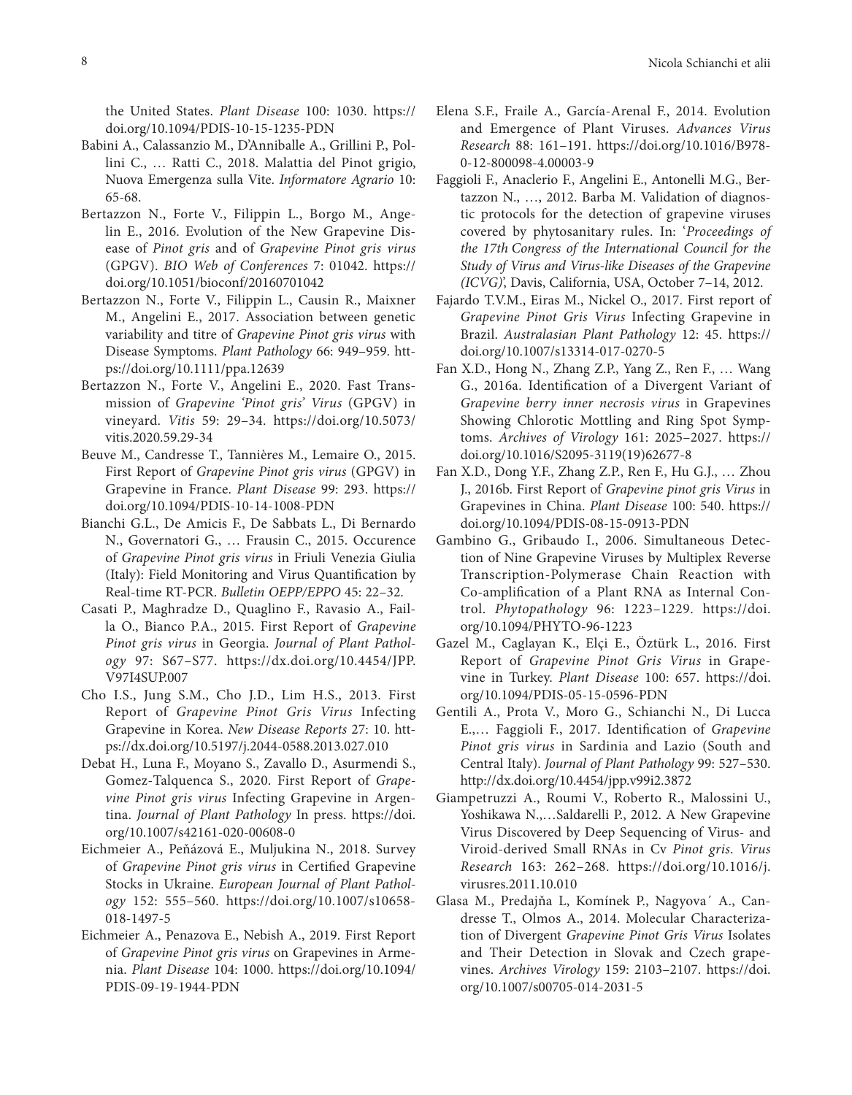the United States. *Plant Disease* 100: 1030. https:// doi.org/10.1094/PDIS-10-15-1235-PDN

- Babini A., Calassanzio M., D'Anniballe A., Grillini P., Pollini C., … Ratti C., 2018. Malattia del Pinot grigio, Nuova Emergenza sulla Vite. *Informatore Agrario* 10: 65-68.
- Bertazzon N., Forte V., Filippin L., Borgo M., Angelin E., 2016. Evolution of the New Grapevine Disease of *Pinot gris* and of *Grapevine Pinot gris virus* (GPGV). *BIO Web of Conferences* 7: 01042. https:// doi.org/10.1051/bioconf/20160701042
- Bertazzon N., Forte V., Filippin L., Causin R., Maixner M., Angelini E., 2017. Association between genetic variability and titre of *Grapevine Pinot gris virus* with Disease Symptoms. *Plant Pathology* 66: 949–959. https://doi.org/10.1111/ppa.12639
- Bertazzon N., Forte V., Angelini E., 2020. Fast Transmission of *Grapevine 'Pinot gris' Virus* (GPGV) in vineyard. *Vitis* 59: 29–34. https://doi.org/10.5073/ vitis.2020.59.29-34
- Beuve M., Candresse T., Tannières M., Lemaire O., 2015. First Report of *Grapevine Pinot gris virus* (GPGV) in Grapevine in France. *Plant Disease* 99: 293. https:// doi.org/10.1094/PDIS-10-14-1008-PDN
- Bianchi G.L., De Amicis F., De Sabbats L., Di Bernardo N., Governatori G., … Frausin C., 2015. Occurence of *Grapevine Pinot gris virus* in Friuli Venezia Giulia (Italy): Field Monitoring and Virus Quantification by Real-time RT-PCR. *Bulletin OEPP/EPPO* 45: 22–32.
- Casati P., Maghradze D., Quaglino F., Ravasio A., Failla O., Bianco P.A., 2015. First Report of *Grapevine Pinot gris virus* in Georgia. *Journal of Plant Pathology* 97: S67–S77. https://dx.doi.org/10.4454/JPP. V97I4SUP.007
- Cho I.S., Jung S.M., Cho J.D., Lim H.S., 2013. First Report of *Grapevine Pinot Gris Virus* Infecting Grapevine in Korea. *New Disease Reports* 27: 10. https://dx.doi.org/10.5197/j.2044-0588.2013.027.010
- Debat H., Luna F., Moyano S., Zavallo D., Asurmendi S., Gomez-Talquenca S., 2020. First Report of *Grapevine Pinot gris virus* Infecting Grapevine in Argentina. *Journal of Plant Pathology* In press. https://doi. org/10.1007/s42161-020-00608-0
- Eichmeier A., Peňázová E., Muljukina N., 2018. Survey of *Grapevine Pinot gris virus* in Certified Grapevine Stocks in Ukraine. *European Journal of Plant Pathology* 152: 555–560. https://doi.org/10.1007/s10658- 018-1497-5
- Eichmeier A., Penazova E., Nebish A., 2019. First Report of *Grapevine Pinot gris virus* on Grapevines in Armenia. *Plant Disease* 104: 1000. https://doi.org/10.1094/ PDIS-09-19-1944-PDN
- Elena S.F., Fraile A., García-Arenal F., 2014. Evolution and Emergence of Plant Viruses. *Advances Virus Research* 88: 161–191. https://doi.org/10.1016/B978- 0-12-800098-4.00003-9
- Faggioli F., Anaclerio F., Angelini E., Antonelli M.G., Bertazzon N., …, 2012. Barba M. Validation of diagnostic protocols for the detection of grapevine viruses covered by phytosanitary rules. In: '*Proceedings of the 17th Congress of the International Council for the Study of Virus and Virus-like Diseases of the Grapevine (ICVG)*', Davis, California, USA, October 7–14, 2012.
- Fajardo T.V.M., Eiras M., Nickel O., 2017. First report of *Grapevine Pinot Gris Virus* Infecting Grapevine in Brazil. *Australasian Plant Pathology* 12: 45. https:// doi.org/10.1007/s13314-017-0270-5
- Fan X.D., Hong N., Zhang Z.P., Yang Z., Ren F., … Wang G., 2016a. Identification of a Divergent Variant of *Grapevine berry inner necrosis virus* in Grapevines Showing Chlorotic Mottling and Ring Spot Symptoms. *Archives of Virology* 161: 2025–2027. https:// doi.org/10.1016/S2095-3119(19)62677-8
- Fan X.D., Dong Y.F., Zhang Z.P., Ren F., Hu G.J., … Zhou J., 2016b. First Report of *Grapevine pinot gris Virus* in Grapevines in China. *Plant Disease* 100: 540. https:// doi.org/10.1094/PDIS-08-15-0913-PDN
- Gambino G., Gribaudo I., 2006. Simultaneous Detection of Nine Grapevine Viruses by Multiplex Reverse Transcription-Polymerase Chain Reaction with Co-amplification of a Plant RNA as Internal Control. *Phytopathology* 96: 1223–1229. https://doi. org/10.1094/PHYTO-96-1223
- Gazel M., Caglayan K., Elçi E., Öztürk L., 2016. First Report of *Grapevine Pinot Gris Virus* in Grapevine in Turkey. *Plant Disease* 100: 657. https://doi. org/10.1094/PDIS-05-15-0596-PDN
- Gentili A., Prota V., Moro G., Schianchi N., Di Lucca E.,… Faggioli F., 2017. Identification of *Grapevine Pinot gris virus* in Sardinia and Lazio (South and Central Italy). *Journal of Plant Pathology* 99: 527–530. http://dx.doi.org/10.4454/jpp.v99i2.3872
- Giampetruzzi A., Roumi V., Roberto R., Malossini U., Yoshikawa N.,…Saldarelli P., 2012. A New Grapevine Virus Discovered by Deep Sequencing of Virus- and Viroid-derived Small RNAs in Cv *Pinot gris*. *Virus Research* 163: 262–268. https://doi.org/10.1016/j. virusres.2011.10.010
- Glasa M., Predajňa L, Komínek P., Nagyova´ A., Candresse T., Olmos A., 2014. Molecular Characterization of Divergent *Grapevine Pinot Gris Virus* Isolates and Their Detection in Slovak and Czech grapevines. *Archives Virology* 159: 2103–2107. https://doi. org/10.1007/s00705-014-2031-5